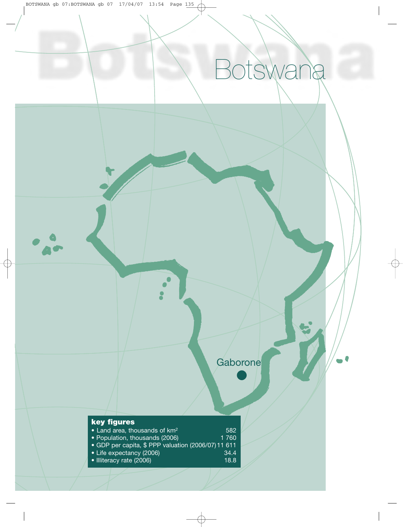# Botswana

Gaborone

| <b>key figures</b>                                  |       |
|-----------------------------------------------------|-------|
| • Land area, thousands of km <sup>2</sup>           | 582   |
| • Population, thousands (2006)                      | 1 760 |
| • GDP per capita, \$ PPP valuation (2006/07) 11 611 |       |
| • Life expectancy (2006)                            | 34.4  |
| • Illiteracy rate (2006)                            | 18.8  |
|                                                     |       |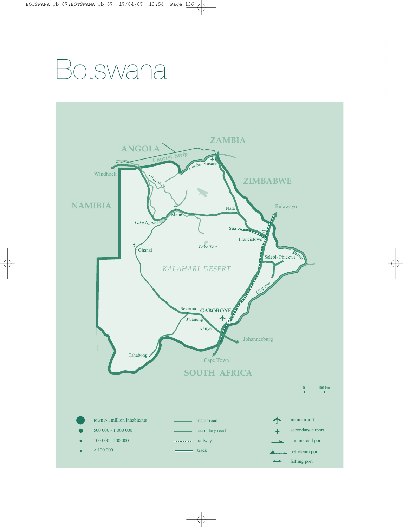# Botswana

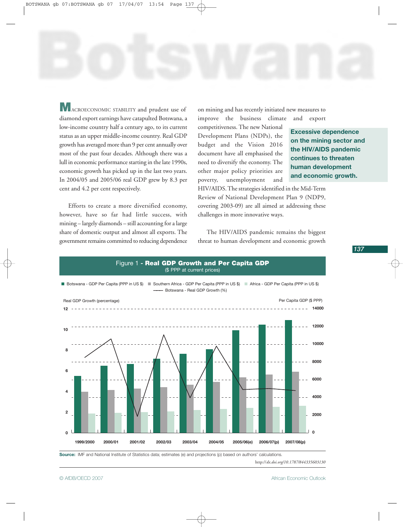**M**ACROECONOMIC STABILITY and prudent use of diamond export earnings have catapulted Botswana, a low-income country half a century ago, to its current status as an upper middle-income country. Real GDP growth has averaged more than 9 per cent annually over most of the past four decades. Although there was a lull in economic performance starting in the late 1990s, economic growth has picked up in the last two years. In 2004/05 and 2005/06 real GDP grew by 8.3 per cent and 4.2 per cent respectively.

Efforts to create a more diversified economy, however, have so far had little success, with mining – largely diamonds – still accounting for a large share of domestic output and almost all exports. The government remains committed to reducing dependence on mining and has recently initiated new measures to improve the business climate and export

competitiveness. The new National Development Plans (NDPs), the budget and the Vision 2016 document have all emphasised the need to diversify the economy. The other major policy priorities are poverty, unemployment and

**Excessive dependence on the mining sector and the HIV/AIDS pandemic continues to threaten human development and economic growth.**

HIV/AIDS. The strategies identified in the Mid-Term Review of National Development Plan 9 (NDP9, covering 2003-09) are all aimed at addressing these challenges in more innovative ways.

The HIV/AIDS pandemic remains the biggest threat to human development and economic growth



Figure 1 **- Real GDP Growth and Per Capita GDP** (\$ PPP at current prices)

**Source:** IMF and National Institute of Statistics data; estimates (e) and projections (p) based on authors' calculations.

http://*[dx.doi.org/10.1787/844335603130](http://dx.doi.org/10.1787/844335603130)*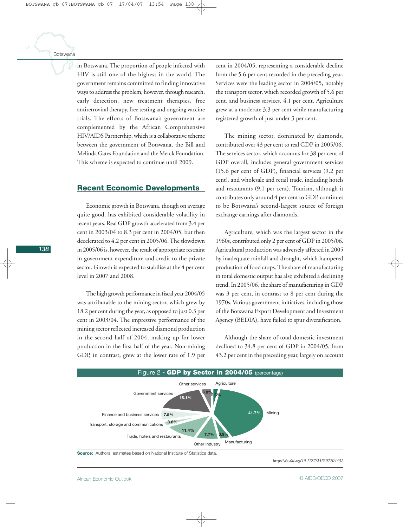in Botswana. The proportion of people infected with HIV is still one of the highest in the world. The government remains committed to finding innovative ways to address the problem, however, through research, early detection, new treatment therapies, free antiretroviral therapy, free testing and ongoing vaccine trials. The efforts of Botswana's government are complemented by the African Comprehensive HIV/AIDS Partnership, which is a collaborative scheme between the government of Botswana, the Bill and Melinda Gates Foundation and the Merck Foundation. This scheme is expected to continue until 2009.

## **Recent Economic Developments**

Economic growth in Botswana, though on average quite good, has exhibited considerable volatility in recent years. Real GDP growth accelerated from 3.4 per cent in 2003/04 to 8.3 per cent in 2004/05, but then decelerated to 4.2 per cent in 2005/06. The slowdown in 2005/06 is, however, the result of appropriate restraint in government expenditure and credit to the private sector. Growth is expected to stabilise at the 4 per cent level in 2007 and 2008.

The high growth performance in fiscal year 2004/05 was attributable to the mining sector, which grew by 18.2 per cent during the year, as opposed to just 0.3 per cent in 2003/04. The impressive performance of the mining sector reflected increased diamond production in the second half of 2004, making up for lower production in the first half of the year. Non-mining GDP, in contrast, grew at the lower rate of 1.9 per

cent in 2004/05, representing a considerable decline from the 5.6 per cent recorded in the preceding year. Services were the leading sector in 2004/05, notably the transport sector, which recorded growth of 5.6 per cent, and business services, 4.1 per cent. Agriculture grew at a moderate 3.3 per cent while manufacturing registered growth of just under 3 per cent.

The mining sector, dominated by diamonds, contributed over 43 per cent to real GDP in 2005/06. The services sector, which accounts for 38 per cent of GDP overall, includes general government services (15.6 per cent of GDP), financial services (9.2 per cent), and wholesale and retail trade, including hotels and restaurants (9.1 per cent). Tourism, although it contributes only around 4 per cent to GDP, continues to be Botswana's second-largest source of foreign exchange earnings after diamonds.

Agriculture, which was the largest sector in the 1960s, contributed only 2 per cent of GDP in 2005/06. Agricultural production was adversely affected in 2005 by inadequate rainfall and drought, which hampered production of food crops. The share of manufacturing in total domestic output has also exhibited a declining trend. In 2005/06, the share of manufacturing in GDP was 3 per cent, in contrast to 8 per cent during the 1970s.Various government initiatives, including those of the Botswana Export Development and Investment Agency (BEDIA), have failed to spur diversification.

Although the share of total domestic investment declined to 34.8 per cent of GDP in 2004/05, from 43.2 per cent in the preceding year, largely on account



**Source:** Authors' estimates based on National Institute of Statistics data.

http://*[dx.doi.org/10.1787/257607704432](http://dx.doi.org/10.1787/257607704432)*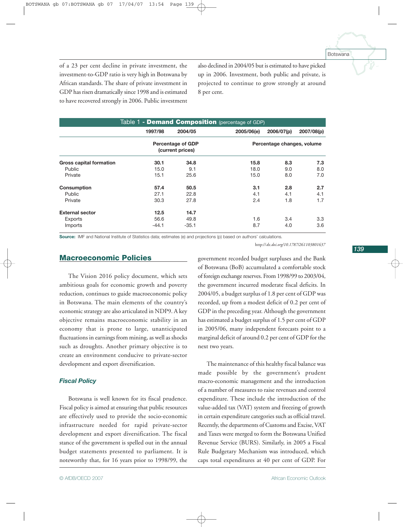of a 23 per cent decline in private investment, the investment-to-GDP ratio is very high in Botswana by African standards. The share of private investment in GDP has risen dramatically since 1998 and is estimated to have recovered strongly in 2006. Public investment

also declined in 2004/05 but is estimated to have picked up in 2006. Investment, both public and private, is projected to continue to grow strongly at around 8 per cent.

| Table 1 - <b>Demand Composition</b> (percentage of GDP) |         |                                              |            |                            |            |  |  |  |
|---------------------------------------------------------|---------|----------------------------------------------|------------|----------------------------|------------|--|--|--|
|                                                         | 1997/98 | 2004/05                                      | 2005/06(e) | 2006/07(p)                 | 2007/08(p) |  |  |  |
|                                                         |         | <b>Percentage of GDP</b><br>(current prices) |            | Percentage changes, volume |            |  |  |  |
| <b>Gross capital formation</b>                          | 30.1    | 34.8                                         | 15.8       | 8.3                        | 7.3        |  |  |  |
| Public                                                  | 15.0    | 9.1                                          | 18.0       | 9.0                        | 8.0        |  |  |  |
| Private                                                 | 15.1    | 25.6                                         | 15.0       | 8.0                        | 7.0        |  |  |  |
| Consumption                                             | 57.4    | 50.5                                         | 3.1        | 2.8                        | 2.7        |  |  |  |
| <b>Public</b>                                           | 27.1    | 22.8                                         | 4.1        | 4.1                        | 4.1        |  |  |  |
| Private                                                 | 30.3    | 27.8                                         | 2.4        | 1.8                        | 1.7        |  |  |  |
| <b>External sector</b>                                  | 12.5    | 14.7                                         |            |                            |            |  |  |  |
| Exports                                                 | 56.6    | 49.8                                         | 1.6        | 3.4                        | 3.3        |  |  |  |
| Imports                                                 | $-44.1$ | $-35.1$                                      | 8.7        | 4.0                        | 3.6        |  |  |  |

**Source:** IMF and National Institute of Statistics data; estimates (e) and projections (p) based on authors' calculations.

http://*[dx.doi.org/10.1787/261103801637](http://dx.doi.org/10.1787/261103801637)*

#### **Macroeconomic Policies**

The Vision 2016 policy document, which sets ambitious goals for economic growth and poverty reduction, continues to guide macroeconomic policy in Botswana. The main elements of the country's economic strategy are also articulated in NDP9. A key objective remains macroeconomic stability in an economy that is prone to large, unanticipated fluctuations in earnings from mining, as well as shocks such as droughts. Another primary objective is to create an environment conducive to private-sector development and export diversification.

#### *Fiscal Policy*

Botswana is well known for its fiscal prudence. Fiscal policy is aimed at ensuring that public resources are effectively used to provide the socio-economic infrastructure needed for rapid private-sector development and export diversification. The fiscal stance of the government is spelled out in the annual budget statements presented to parliament. It is noteworthy that, for 16 years prior to 1998/99, the government recorded budget surpluses and the Bank of Botswana (BoB) accumulated a comfortable stock of foreign exchange reserves. From 1998/99 to 2003/04, the government incurred moderate fiscal deficits. In 2004/05, a budget surplus of 1.8 per cent of GDP was recorded, up from a modest deficit of 0.2 per cent of GDP in the preceding year. Although the government has estimated a budget surplus of 1.5 per cent of GDP in 2005/06, many independent forecasts point to a marginal deficit of around 0.2 per cent of GDP for the next two years.

The maintenance of this healthy fiscal balance was made possible by the government's prudent macro-economic management and the introduction of a number of measures to raise revenues and control expenditure. These include the introduction of the value-added tax (VAT) system and freezing of growth in certain expenditure categories such as official travel. Recently, the departments of Customs and Excise, VAT and Taxes were merged to form the Botswana Unified Revenue Service (BURS). Similarly, in 2005 a Fiscal Rule Budgetary Mechanism was introduced, which caps total expenditures at 40 per cent of GDP. For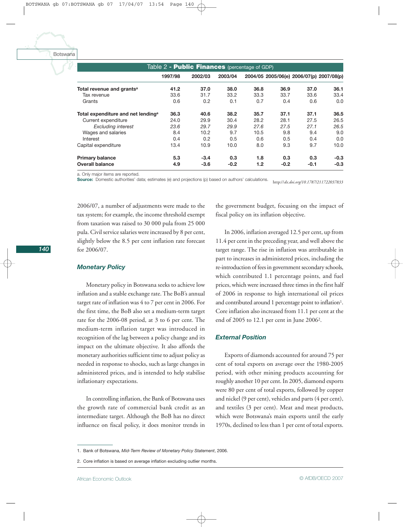| Table 2 - <b>Public Finances</b> (percentage of GDP) |         |         |         |      |        |                                          |        |
|------------------------------------------------------|---------|---------|---------|------|--------|------------------------------------------|--------|
|                                                      | 1997/98 | 2002/03 | 2003/04 |      |        | 2004/05 2005/06(e) 2006/07(p) 2007/08(p) |        |
| Total revenue and grants <sup>a</sup>                | 41.2    | 37.0    | 38.0    | 36.8 | 36.9   | 37.0                                     | 36.1   |
| Tax revenue                                          | 33.6    | 31.7    | 33.2    | 33.3 | 33.7   | 33.6                                     | 33.4   |
| Grants                                               | 0.6     | 0.2     | 0.1     | 0.7  | 0.4    | 0.6                                      | 0.0    |
| Total expenditure and net lending <sup>a</sup>       | 36.3    | 40.6    | 38.2    | 35.7 | 37.1   | 37.1                                     | 36.5   |
| Current expenditure                                  | 24.0    | 29.9    | 30.4    | 28.2 | 28.1   | 27.5                                     | 26.5   |
| <b>Excluding interest</b>                            | 23.6    | 29.7    | 29.9    | 27.6 | 27.5   | 27.1                                     | 26.5   |
| Wages and salaries                                   | 8.4     | 10.2    | 9.7     | 10.5 | 9.8    | 9.4                                      | 9.0    |
| Interest                                             | 0.4     | 0.2     | 0.5     | 0.6  | 0.5    | 0.4                                      | 0.0    |
| Capital expenditure                                  | 13.4    | 10.9    | 10.0    | 8.0  | 9.3    | 9.7                                      | 10.0   |
| <b>Primary balance</b>                               | 5.3     | $-3.4$  | 0.3     | 1.8  | 0.3    | 0.3                                      | $-0.3$ |
| <b>Overall balance</b>                               | 4.9     | $-3.6$  | $-0.2$  | 1.2  | $-0.2$ | $-0.1$                                   | $-0.3$ |

a. Only major items are reported.

**Source:** Domestic authorities' data; estimates (e) and projections (p) based on authors' calculations. http://*[dx.doi.org/10.1787/211722037833](http://dx.doi.org/10.1787/211722037833)*

2006/07, a number of adjustments were made to the tax system; for example, the income threshold exempt from taxation was raised to 30 000 pula from 25 000 pula. Civil service salaries were increased by 8 per cent, slightly below the 8.5 per cent inflation rate forecast for 2006/07.

#### *Monetary Policy*

Monetary policy in Botswana seeks to achieve low inflation and a stable exchange rate.The BoB's annual target rate of inflation was 4 to 7 per cent in 2006. For the first time, the BoB also set a medium-term target rate for the 2006-08 period, at 3 to 6 per cent. The medium-term inflation target was introduced in recognition of the lag between a policy change and its impact on the ultimate objective. It also affords the monetary authorities sufficient time to adjust policy as needed in response to shocks, such as large changes in administered prices, and is intended to help stabilise inflationary expectations.

In controlling inflation, the Bank of Botswana uses the growth rate of commercial bank credit as an intermediate target. Although the BoB has no direct influence on fiscal policy, it does monitor trends in

the government budget, focusing on the impact of fiscal policy on its inflation objective.

In 2006, inflation averaged 12.5 per cent, up from 11.4 per cent in the preceding year, and well above the target range. The rise in inflation was attributable in part to increases in administered prices, including the re-introduction of fees in government secondary schools, which contributed 1.1 percentage points, and fuel prices, which were increased three times in the first half of 2006 in response to high international oil prices and contributed around 1 percentage point to inflation<sup>1</sup>. Core inflation also increased from 11.1 per cent at the end of 2005 to 12.1 per cent in June 20062.

#### *External Position*

Exports of diamonds accounted for around 75 per cent of total exports on average over the 1980-2005 period, with other mining products accounting for roughly another 10 per cent. In 2005, diamond exports were 80 per cent of total exports, followed by copper and nickel (9 per cent), vehicles and parts (4 per cent), and textiles (3 per cent). Meat and meat products, which were Botswana's main exports until the early 1970s, declined to less than 1 per cent of total exports.

<sup>1.</sup> Bank of Botswana, *Mid-Term Review of Monetary Policy Statement*, 2006.

<sup>2.</sup> Core inflation is based on average inflation excluding outlier months.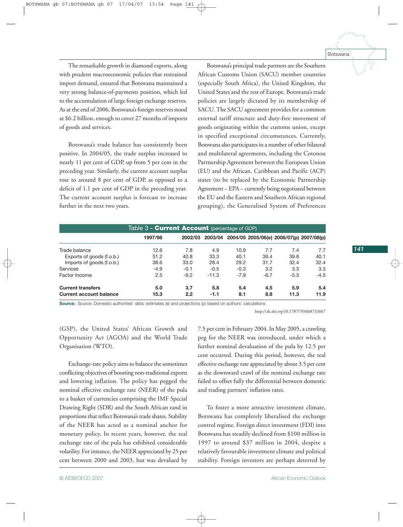The remarkable growth in diamond exports, along with prudent macroeconomic policies that restrained import demand, ensured that Botswana maintained a very strong balance-of-payments position, which led to the accumulation of large foreign exchange reserves. As at the end of 2006, Botswana's foreign reserves stood at \$6.2 billion, enough to cover 27 months of imports of goods and services.

Botswana's trade balance has consistently been positive. In 2004/05, the trade surplus increased to nearly 11 per cent of GDP, up from 5 per cent in the preceding year. Similarly, the current account surplus rose to around 8 per cent of GDP, as opposed to a deficit of 1.1 per cent of GDP in the preceding year. The current account surplus is forecast to increase further in the next two years.

Botswana's principal trade partners are the Southern African Customs Union (SACU) member countries (especially South Africa), the United Kingdom, the United States and the rest of Europe. Botswana's trade policies are largely dictated by its membership of SACU.The SACU agreement provides for a common external tariff structure and duty-free movement of goods originating within the customs union, except in specified exceptional circumstances. Currently, Botswana also participates in a number of other bilateral and multilateral agreements, including the Cotonou Partnership Agreement between the European Union (EU) and the African, Caribbean and Pacific (ACP) states (to be replaced by the Economic Partnership Agreement – EPA – currently being negotiated between the EU and the Eastern and Southern African regional grouping), the Generalised System of Preferences

| Table 3 - Current Account (percentage of GDP) |         |         |         |        |        |                                                  |        |
|-----------------------------------------------|---------|---------|---------|--------|--------|--------------------------------------------------|--------|
|                                               | 1997/98 | 2002/03 |         |        |        | 2003/04 2004/05 2005/06(e) 2006/07(p) 2007/08(p) |        |
| Trade balance                                 | 12.6    | 7.8     | 4.9     | 10.9   | 7.7    | 7.4                                              | 7.7    |
| Exports of goods (f.o.b.)                     | 51.2    | 40.8    | 33.3    | 40.1   | 39.4   | 39.8                                             | 40.1   |
| Imports of goods (f.o.b.)                     | 38.6    | 33.0    | 28.4    | 29.2   | 31.7   | 32.4                                             | 32.4   |
| <b>Services</b>                               | $-4.9$  | $-0.1$  | $-0.5$  | $-0.3$ | 3.2    | 3.3                                              | 3.3    |
| Factor Income                                 | 2.5     | $-9.2$  | $-11.3$ | $-7.9$ | $-6.7$ | $-5.3$                                           | $-4.5$ |
| <b>Current transfers</b>                      | 5.0     | 3.7     | 5.8     | 5.4    | 4.5    | 5.9                                              | 5.4    |
| Current account balance                       | 15.3    | 2.2     | $-1.1$  | 8.1    | 8.8    | 11.3                                             | 11.9   |

**Source:** Source: Domestic authorities' data; estimates (e) and projections (p) based on authors' calculations

http://*[dx.doi.org/10.1787/703668733667](http://dx.doi.org/10.1787/703668733667)*

(GSP), the United States' African Growth and Opportunity Act (AGOA) and the World Trade Organisation (WTO).

Exchange-rate policy aims to balance the sometimes conflicting objectives of boosting non-traditional exports and lowering inflation. The policy has pegged the nominal effective exchange rate (NEER) of the pula to a basket of currencies comprising the IMF Special Drawing Right (SDR) and the South African rand in proportions that reflect Botswana's trade shares. Stability of the NEER has acted as a nominal anchor for monetary policy. In recent years, however, the real exchange rate of the pula has exhibited considerable volatility. For instance, the NEER appreciated by 25 per cent between 2000 and 2003, but was devalued by

7.5 per cent in February 2004. In May 2005, a crawling peg for the NEER was introduced, under which a further nominal devaluation of the pula by 12.5 per cent occurred. During this period, however, the real effective exchange rate appreciated by about 3.5 per cent as the downward crawl of the nominal exchange rate failed to offset fully the differential between domestic and trading partners' inflation rates.

To foster a more attractive investment climate, Botswana has completely liberalised the exchange control regime. Foreign direct investment (FDI) into Botswana has steadily declined from \$100 million in 1997 to around \$37 million in 2004, despite a relatively favourable investment climate and political stability. Foreign investors are perhaps deterred by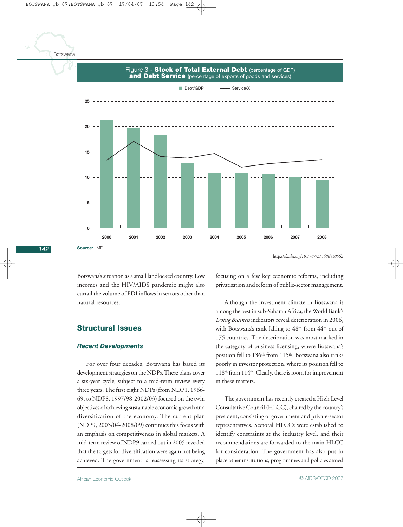Botswana

**0 5 10 15 20 25 2000 2001 2002 2003 2004 2005 2006 2007 2008** ■ Debt/GDP **———** Service/X

Figure 3 **- Stock of Total External Debt** (percentage of GDP) **and Debt Service** (percentage of exports of goods and services)

*142*

**Source:** IMF.

Botswana's situation as a small landlocked country. Low incomes and the HIV/AIDS pandemic might also curtail the volume of FDI inflows in sectors other than natural resources.

## **Structural Issues**

#### *Recent Developments*

For over four decades, Botswana has based its development strategies on the NDPs.These plans cover a six-year cycle, subject to a mid-term review every three years.The first eight NDPs (from NDP1, 1966- 69, to NDP8, 1997/98-2002/03) focused on the twin objectives of achieving sustainable economic growth and diversification of the economy. The current plan (NDP9, 2003/04-2008/09) continues this focus with an emphasis on competitiveness in global markets. A mid-term review of NDP9 carried out in 2005 revealed that the targets for diversification were again not being achieved. The government is reassessing its strategy,

http://*[dx.doi.org/10.1787/213686530562](http://dx.doi.org/10.1787/213686530562)*

focusing on a few key economic reforms, including privatisation and reform of public-sector management.

Although the investment climate in Botswana is among the best in sub-Saharan Africa, theWorld Bank's *Doing Business* indicators reveal deterioration in 2006, with Botswana's rank falling to 48<sup>th</sup> from 44<sup>th</sup> out of 175 countries. The deterioration was most marked in the category of business licensing, where Botswana's position fell to 136th from 115th. Botswana also ranks poorly in investor protection, where its position fell to 118th from 114th. Clearly, there is room for improvement in these matters.

The government has recently created a High Level Consultative Council (HLCC), chaired by the country's president, consisting of government and private-sector representatives. Sectoral HLCCs were established to identify constraints at the industry level, and their recommendations are forwarded to the main HLCC for consideration. The government has also put in place other institutions, programmes and policies aimed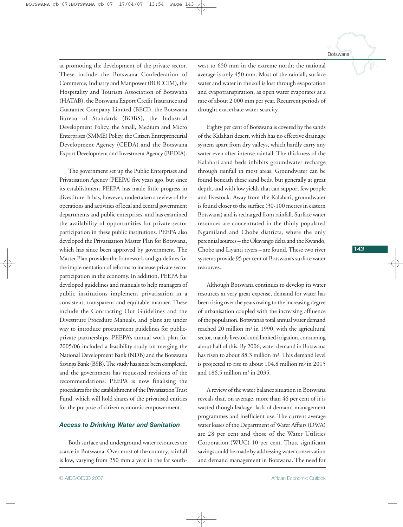at promoting the development of the private sector. These include the Botswana Confederation of Commerce, Industry and Manpower (BOCCIM), the Hospitality and Tourism Association of Botswana (HATAB), the Botswana Export Credit Insurance and Guarantee Company Limited (BECI), the Botswana Bureau of Standards (BOBS), the Industrial Development Policy, the Small, Medium and Micro Enterprises (SMME) Policy, the Citizen Entrepreneurial Development Agency (CEDA) and the Botswana Export Development and Investment Agency (BEDIA).

The government set up the Public Enterprises and Privatisation Agency (PEEPA) five years ago, but since its establishment PEEPA has made little progress in divestiture. It has, however, undertaken a review of the operations and activities of local and central government departments and public enterprises, and has examined the availability of opportunities for private-sector participation in these public institutions. PEEPA also developed the Privatisation Master Plan for Botswana, which has since been approved by government. The Master Plan provides the framework and guidelines for the implementation of reforms to increase private sector participation in the economy. In addition, PEEPA has developed guidelines and manuals to help managers of public institutions implement privatisation in a consistent, transparent and equitable manner. These include the Contracting Out Guidelines and the Divestiture Procedure Manuals, and plans are under way to introduce procurement guidelines for publicprivate partnerships. PEEPA's annual work plan for 2005/06 included a feasibility study on merging the National Development Bank (NDB) and the Botswana Savings Bank (BSB). The study has since been completed, and the government has requested revisions of the recommendations. PEEPA is now finalising the procedures for the establishment of the Privatisation Trust Fund, which will hold shares of the privatised entities for the purpose of citizen economic empowerment.

#### *Access to Drinking Water and Sanitation*

Both surface and underground water resources are scarce in Botswana. Over most of the country, rainfall is low, varying from 250 mm a year in the far southwest to 650 mm in the extreme north; the national average is only 450 mm. Most of the rainfall, surface water and water in the soil is lost through evaporation and evapotranspiration, as open water evaporates at a rate of about 2 000 mm per year. Recurrent periods of drought exacerbate water scarcity.

Eighty per cent of Botswana is covered by the sands of the Kalahari desert, which has no effective drainage system apart from dry valleys, which hardly carry any water even after intense rainfall. The thickness of the Kalahari sand beds inhibits groundwater recharge through rainfall in most areas. Groundwater can be found beneath these sand beds, but generally at great depth, and with low yields that can support few people and livestock. Away from the Kalahari, groundwater is found closer to the surface (30-100 metres in eastern Botswana) and is recharged from rainfall. Surface water resources are concentrated in the thinly populated Ngamiland and Chobe districts, where the only perennial sources – the Okavango delta and theKwando, Chobe and Liyanti rivers – are found. These two river systems provide 95 per cent of Botswana's surface water resources.

Although Botswana continues to develop its water resources at very great expense, demand for water has been rising over the years owing to the increasing degree of urbanisation coupled with the increasing affluence of the population. Botswana's total annual water demand reached 20 million m3 in 1990, with the agricultural sector, mainly livestock and limited irrigation, consuming about half of this. By 2006, water demand in Botswana has risen to about 88.3 million m<sup>3</sup>. This demand level is projected to rise to about 104.8 million m<sup>3</sup> in 2015 and 186.5 million m3 in 2035.

A review of the water balance situation in Botswana reveals that, on average, more than 46 per cent of it is wasted though leakage, lack of demand management programmes and inefficient use. The current average water losses of the Department of Water Affairs (DWA) are 28 per cent and those of the Water Utilities Corporation (WUC) 10 per cent. Thus, significant savings could be made by addressing water conservation and demand management in Botswana. The need for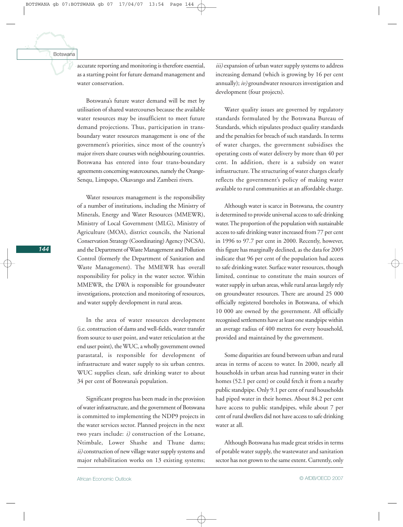accurate reporting and monitoring is therefore essential, as a starting point for future demand management and water conservation.

Botswana's future water demand will be met by utilisation of shared watercourses because the available water resources may be insufficient to meet future demand projections. Thus, participation in transboundary water resources management is one of the government's priorities, since most of the country's major rivers share courses with neighbouring countries. Botswana has entered into four trans-boundary agreements concerning watercourses, namely the Orange-Senqu, Limpopo, Okavango and Zambezi rivers.

Water resources management is the responsibility of a number of institutions, including the Ministry of Minerals, Energy and Water Resources (MMEWR), Ministry of Local Government (MLG), Ministry of Agriculture (MOA), district councils, the National Conservation Strategy (Coordinating) Agency (NCSA), and the Department of Waste Management and Pollution Control (formerly the Department of Sanitation and Waste Management). The MMEWR has overall responsibility for policy in the water sector. Within MMEWR, the DWA is responsible for groundwater investigations, protection and monitoring of resources, and water supply development in rural areas.

In the area of water resources development (i.e. construction of dams and well-fields, water transfer from source to user point, and water reticulation at the end user point), theWUC, a wholly government owned parastatal, is responsible for development of infrastructure and water supply to six urban centres. WUC supplies clean, safe drinking water to about 34 per cent of Botswana's population.

Significant progress has been made in the provision of water infrastructure, and the government of Botswana is committed to implementing the NDP9 projects in the water services sector. Planned projects in the next two years include: *i)* construction of the Lotsane, Ntimbale, Lower Shashe and Thune dams; *ii)* construction of new village water supply systems and major rehabilitation works on 13 existing systems;

*iii*) expansion of urban water supply systems to address increasing demand (which is growing by 16 per cent annually); *iv)* groundwater resources investigation and development (four projects).

Water quality issues are governed by regulatory standards formulated by the Botswana Bureau of Standards, which stipulates product quality standards and the penalties for breach of such standards. In terms of water charges, the government subsidises the operating costs of water delivery by more than 40 per cent. In addition, there is a subsidy on water infrastructure. The structuring of water charges clearly reflects the government's policy of making water available to rural communities at an affordable charge.

Although water is scarce in Botswana, the country is determined to provide universal access to safe drinking water. The proportion of the population with sustainable access to safe drinking water increased from 77 per cent in 1996 to 97.7 per cent in 2000. Recently, however, this figure has marginally declined, as the data for 2005 indicate that 96 per cent of the population had access to safe drinking water. Surface water resources, though limited, continue to constitute the main sources of water supply in urban areas, while rural areas largely rely on groundwater resources. There are around 25 000 officially registered boreholes in Botswana, of which 10 000 are owned by the government. All officially recognised settlements have at least one standpipe within an average radius of 400 metres for every household, provided and maintained by the government.

Some disparities are found between urban and rural areas in terms of access to water. In 2000, nearly all households in urban areas had running water in their homes (52.1 per cent) or could fetch it from a nearby public standpipe. Only 9.1 per cent of rural households had piped water in their homes. About 84.2 per cent have access to public standpipes, while about 7 per cent of rural dwellers did not have access to safe drinking water at all.

Although Botswana has made great strides in terms of potable water supply, the wastewater and sanitation sector has not grown to the same extent. Currently, only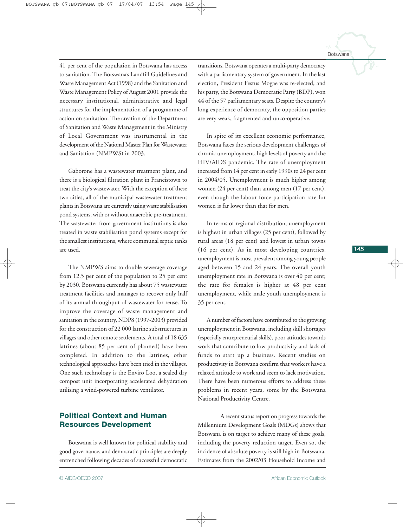41 per cent of the population in Botswana has access to sanitation. The Botswana's Landfill Guidelines and Waste Management Act (1998) and the Sanitation and Waste Management Policy of August 2001 provide the necessary institutional, administrative and legal structures for the implementation of a programme of action on sanitation. The creation of the Department of Sanitation and Waste Management in the Ministry of Local Government was instrumental in the development of the National Master Plan for Wastewater and Sanitation (NMPWS) in 2003.

Gaborone has a wastewater treatment plant, and there is a biological filtration plant in Francistown to treat the city's wastewater. With the exception of these two cities, all of the municipal wastewater treatment plants in Botswana are currently using waste stabilisation pond systems, with or without anaerobic pre-treatment. The wastewater from government institutions is also treated in waste stabilisation pond systems except for the smallest institutions, where communal septic tanks are used.

The NMPWS aims to double sewerage coverage from 12.5 per cent of the population to 25 per cent by 2030. Botswana currently has about 75 wastewater treatment facilities and manages to recover only half of its annual throughput of wastewater for reuse. To improve the coverage of waste management and sanitation in the country, NDP8 (1997-2003) provided for the construction of 22 000 latrine substructures in villages and other remote settlements. A total of 18 635 latrines (about 85 per cent of planned) have been completed. In addition to the latrines, other technological approaches have been tried in the villages. One such technology is the Enviro Loo, a sealed dry compost unit incorporating accelerated dehydration utilising a wind-powered turbine ventilator.

# **Political Context and Human Resources Development**

Botswana is well known for political stability and good governance, and democratic principles are deeply entrenched following decades of successful democratic transitions. Botswana operates a multi-party democracy with a parliamentary system of government. In thelast election, President Festus Mogae was re-elected, and his party, the Botswana Democratic Party (BDP), won 44 of the 57 parliamentary seats. Despite the country's long experience of democracy, the opposition parties are very weak, fragmented and unco-operative.

In spite of its excellent economic performance, Botswana faces the serious development challenges of chronic unemployment, high levels of poverty and the HIV/AIDS pandemic. The rate of unemployment increased from 14 per cent in early 1990s to 24 per cent in 2004/05. Unemployment is much higher among women (24 per cent) than among men (17 per cent), even though the labour force participation rate for women is far lower than that for men.

In terms of regional distribution, unemployment is highest in urban villages (25 per cent), followed by rural areas (18 per cent) and lowest in urban towns (16 per cent). As in most developing countries, unemployment is most prevalent among young people aged between 15 and 24 years. The overall youth unemployment rate in Botswana is over 40 per cent; the rate for females is higher at 48 per cent unemployment, while male youth unemployment is 35 per cent.

A number of factors have contributed to the growing unemployment in Botswana, including skill shortages (especially entrepreneurial skills), poor attitudes towards work that contribute to low productivity and lack of funds to start up a business. Recent studies on productivity in Botswana confirm that workers have a relaxed attitude to work and seem to lack motivation. There have been numerous efforts to address these problems in recent years, some by the Botswana National Productivity Centre.

A recent status report on progress towards the Millennium Development Goals (MDGs) shows that Botswana is on target to achieve many of these goals, including the poverty reduction target. Even so, the incidence of absolute poverty is still high in Botswana. Estimates from the 2002/03 Household Income and